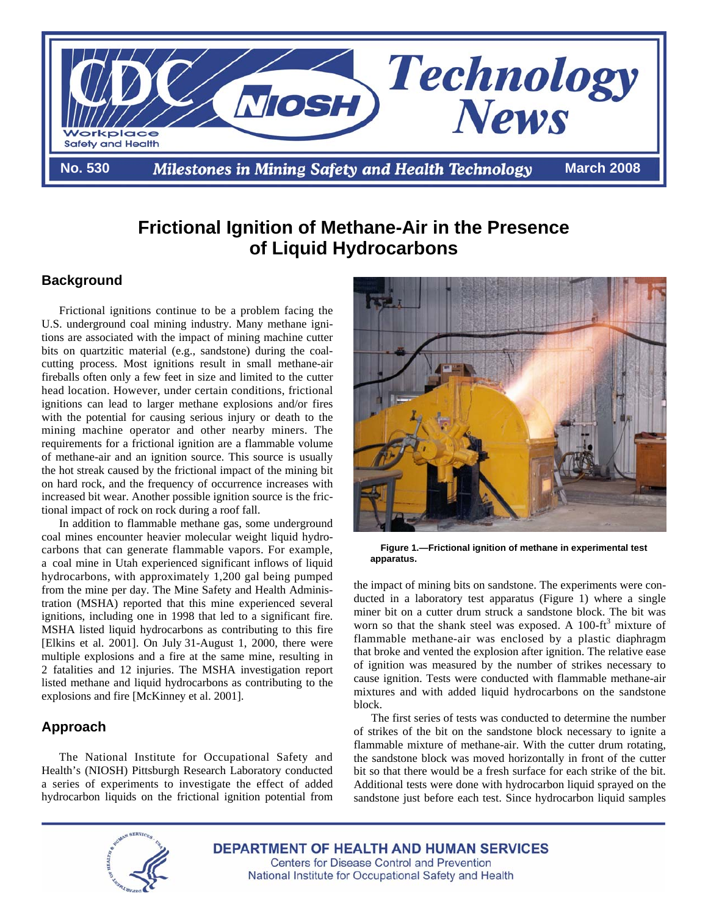

# **Frictional Ignition of Methane-Air in the Presence of Liquid Hydrocarbons**

## **Background**

Frictional ignitions continue to be a problem facing the U.S. underground coal mining industry. Many methane ignitions are associated with the impact of mining machine cutter bits on quartzitic material (e.g., sandstone) during the coalcutting process. Most ignitions result in small methane-air fireballs often only a few feet in size and limited to the cutter head location. However, under certain conditions, frictional ignitions can lead to larger methane explosions and/or fires with the potential for causing serious injury or death to the mining machine operator and other nearby miners. The requirements for a frictional ignition are a flammable volume of methane-air and an ignition source. This source is usually the hot streak caused by the frictional impact of the mining bit on hard rock, and the frequency of occurrence increases with increased bit wear. Another possible ignition source is the frictional impact of rock on rock during a roof fall.

In addition to flammable methane gas, some underground coal mines encounter heavier molecular weight liquid hydrocarbons that can generate flammable vapors. For example, a coal mine in Utah experienced significant inflows of liquid hydrocarbons, with approximately 1,200 gal being pumped from the mine per day. The Mine Safety and Health Administration (MSHA) reported that this mine experienced several ignitions, including one in 1998 that led to a significant fire. MSHA listed liquid hydrocarbons as contributing to this fire [Elkins et al. 2001]. On July 31-August 1, 2000, there were multiple explosions and a fire at the same mine, resulting in 2 fatalities and 12 injuries. The MSHA investigation report listed methane and liquid hydrocarbons as contributing to the explosions and fire [McKinney et al. 2001].

## **Approach**

a series of experiments to investigate the effect of added The National Institute for Occupational Safety and Health's (NIOSH) Pittsburgh Research Laboratory conducted hydrocarbon liquids on the frictional ignition potential from



 **Figure 1.—Frictional ignition of methane in experimental test apparatus.** 

 mixtures and with added liquid hydrocarbons on the sandstone the impact of mining bits on sandstone. The experiments were conducted in a laboratory test apparatus (Figure 1) where a single miner bit on a cutter drum struck a sandstone block. The bit was worn so that the shank steel was exposed. A  $100$ -ft<sup>3</sup> mixture of flammable methane-air was enclosed by a plastic diaphragm that broke and vented the explosion after ignition. The relative ease of ignition was measured by the number of strikes necessary to cause ignition. Tests were conducted with flammable methane-air block.

The first series of tests was conducted to determine the number of strikes of the bit on the sandstone block necessary to ignite a flammable mixture of methane-air. With the cutter drum rotating, the sandstone block was moved horizontally in front of the cutter bit so that there would be a fresh surface for each strike of the bit. Additional tests were done with hydrocarbon liquid sprayed on the sandstone just before each test. Since hydrocarbon liquid samples



**DEPARTMENT OF HEALTH AND HUMAN SERVICES Centers for Disease Control and Prevention** National Institute for Occupational Safety and Health